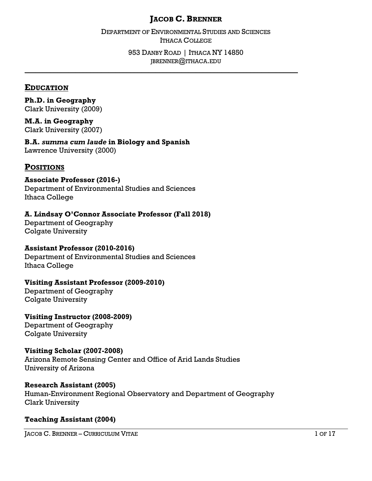# **JACOB C. BRENNER**

DEPARTMENT OF ENVIRONMENTAL STUDIES AND SCIENCES ITHACA COLLEGE

> 953 DANBY ROAD | ITHACA NY 14850 JBRENNER@ITHACA.EDU

**\_\_\_\_\_\_\_\_\_\_\_\_\_\_\_\_\_\_\_\_\_\_\_\_\_\_\_\_\_\_\_\_\_\_\_\_\_\_\_\_\_\_\_\_\_\_\_\_\_\_\_\_\_\_\_\_\_\_\_\_\_\_\_\_\_\_\_\_\_\_\_\_\_\_\_**

#### **EDUCATION**

**Ph.D. in Geography** Clark University (2009)

**M.A. in Geography** Clark University (2007)

**B.A.** *summa cum laude* **in Biology and Spanish** Lawrence University (2000)

# **POSITIONS**

### **Associate Professor (2016-)**

Department of Environmental Studies and Sciences Ithaca College

## **A. Lindsay O'Connor Associate Professor (Fall 2018)**

Department of Geography Colgate University

### **Assistant Professor (2010-2016)**

Department of Environmental Studies and Sciences Ithaca College

### **Visiting Assistant Professor (2009-2010)**

Department of Geography Colgate University

**Visiting Instructor (2008-2009)** Department of Geography

Colgate University

### **Visiting Scholar (2007-2008)**

Arizona Remote Sensing Center and Office of Arid Lands Studies University of Arizona

### **Research Assistant (2005)**

Human-Environment Regional Observatory and Department of Geography Clark University

### **Teaching Assistant (2004)**

JACOB C. BRENNER – CURRICULUM VITAE 1 OF 17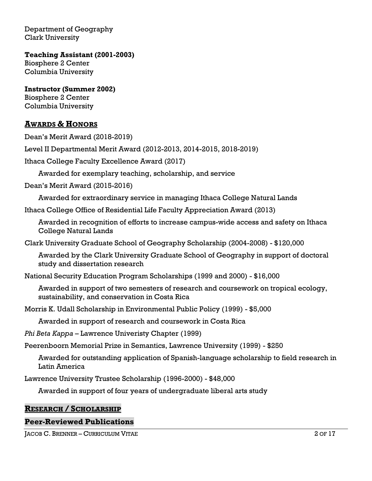Department of Geography Clark University

**Teaching Assistant (2001-2003)** Biosphere 2 Center Columbia University

**Instructor (Summer 2002)** Biosphere 2 Center Columbia University

# **AWARDS & HONORS**

Dean's Merit Award (2018-2019)

Level II Departmental Merit Award (2012-2013, 2014-2015, 2018-2019)

Ithaca College Faculty Excellence Award (2017)

Awarded for exemplary teaching, scholarship, and service

Dean's Merit Award (2015-2016)

Awarded for extraordinary service in managing Ithaca College Natural Lands

Ithaca College Office of Residential Life Faculty Appreciation Award (2013)

Awarded in recognition of efforts to increase campus-wide access and safety on Ithaca College Natural Lands

Clark University Graduate School of Geography Scholarship (2004-2008) - \$120,000

Awarded by the Clark University Graduate School of Geography in support of doctoral study and dissertation research

National Security Education Program Scholarships (1999 and 2000) - \$16,000

Awarded in support of two semesters of research and coursework on tropical ecology, sustainability, and conservation in Costa Rica

Morris K. Udall Scholarship in Environmental Public Policy (1999) - \$5,000

Awarded in support of research and coursework in Costa Rica

*Phi Beta Kappa* – Lawrence Univeristy Chapter (1999)

Peerenboorn Memorial Prize in Semantics, Lawrence University (1999) - \$250

Awarded for outstanding application of Spanish-language scholarship to field research in Latin America

Lawrence University Trustee Scholarship (1996-2000) - \$48,000

Awarded in support of four years of undergraduate liberal arts study

### **RESEARCH / SCHOLARSHIP**

### **Peer-Reviewed Publications**

JACOB C. BRENNER – CURRICULUM VITAE 2 OF 17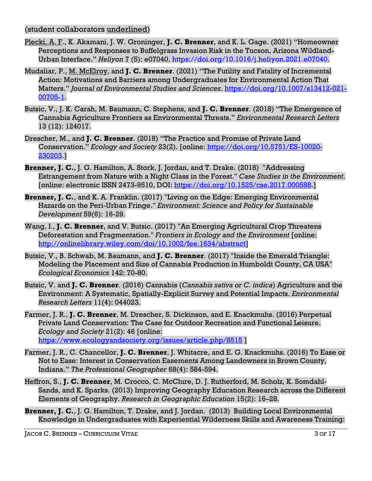## (student collaborators underlined)

- Plecki, A. F., K. Akamani, J. W. Groninger, **J. C. Brenner**, and K. L. Gage. (2021) "Homeowner Perceptions and Responses to Buffelgrass Invasion Risk in the Tucson, Arizona Wildland-Urban Interface." *Heliyon* 7 (5): e07040. [https://doi.org/10.1016/j.heliyon.2021.e07040.](https://doi.org/10.1016/j.heliyon.2021.e07040)
- Mudaliar, P., M. McElroy, and **J. C. Brenner**. (2021) "The Futility and Fatality of Incremental Action: Motivations and Barriers among Undergraduates for Environmental Action That Matters." *Journal of Environmental Studies and Sciences*. [https://doi.org/10.1007/s13412-021-](https://doi.org/10.1007/s13412-021-00705-1) [00705-1.](https://doi.org/10.1007/s13412-021-00705-1)
- Butsic, V., J. K. Carah, M. Baumann, C. Stephens, and **J. C. Brenner**. (2018) "The Emergence of Cannabis Agriculture Frontiers as Environmental Threats." *Environmental Research Letters* 13 (12): 124017.
- Drescher, M., and **J. C. Brenner**. (2018) "The Practice and Promise of Private Land Conservation." *Ecology and Society* 23(2). [online: [https://doi.org/10.5751/ES-10020-](https://doi.org/10.5751/ES-10020-230203) [230203.](https://doi.org/10.5751/ES-10020-230203)]
- **Brenner, J. C.**, J. G. Hamilton, A. Stork, J. Jordan, and T. Drake. (2018) "Addressing Estrangement from Nature with a Night Class in the Forest." *Case Studies in the Environment*. [online: electronic ISSN 2473-9510, DOI: [https://doi.org/10.1525/cse.2017.000588.](https://doi.org/10.1525/cse.2017.000588)]
- **Brenner, J. C.**, and K. A. Franklin. (2017) "Living on the Edge: Emerging Environmental Hazards on the Peri-Urban Fringe." *Environment: Science and Policy for Sustainable Development* 59(6): 16-29.
- Wang, I., **J. C. Brenner**, and V. Butsic. (2017) "An Emerging Agricultural Crop Threatens Deforestation and Fragmentation." *Frontiers in Ecology and the Environment* [online: [http://onlinelibrary.wiley.com/doi/10.1002/fee.1634/abstract\]](http://onlinelibrary.wiley.com/doi/10.1002/fee.1634/abstract)
- Butsic, V., B. Schwab, M. Baumann, and **J. C. Brenner**. (2017) "Inside the Emerald Triangle: Modeling the Placement and Size of Cannabis Production in Humboldt County, CA USA" *Ecological Economics* 142: 70-80.
- Butsic, V. and **J. C. Brenner**. (2016) Cannabis (*Cannabis sativa or C. indica*) Agriculture and the Environment: A Systematic, Spatially-Explicit Survey and Potential Impacts. *Environmental Research Letters* 11(4): 044023.
- Farmer, J. R., **J. C. Brenner**, M. Drescher, S. Dickinson, and E. Knackmuhs. (2016) Perpetual Private Land Conservation: The Case for Outdoor Recreation and Functional Leisure. *Ecology and Society* 21(2): 46 [online: <https://www.ecologyandsociety.org/issues/article.php/8515> ]
- Farmer, J. R., C. Chancellor, **J. C. Brenner**, J. Whitacre, and E. G. Knackmuhs. (2016) To Ease or Not to Ease: Interest in Conservation Easements Among Landowners in Brown County, Indiana." *The Professional Geographer* 68(4): 584-594.
- Heffron, S., **J. C. Brenner**, M. Crocco, C. McClure, D. J. Rutherford, M. Scholz, K. Somdahl-Sands, and K. Sparks. (2013) Improving Geography Education Research across the Different Elements of Geography. *Research in Geographic Education* 15(2): 16–28.
- **Brenner, J. C.**, J. G. Hamilton, T. Drake, and J. Jordan. (2013) Building Local Environmental Knowledge in Undergraduates with Experiential Wilderness Skills and Awareness Training: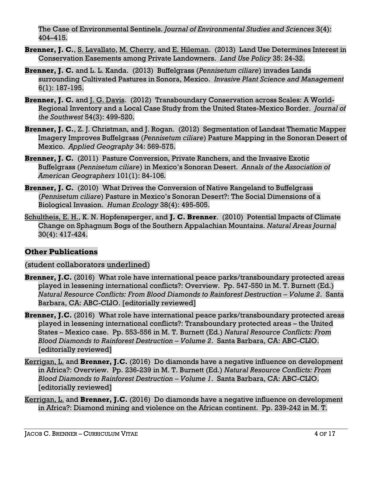The Case of Environmental Sentinels. *Journal of Environmental Studies and Sciences* 3(4): 404–415.

- **Brenner, J. C.**, S. Lavallato, M. Cherry, and E. Hileman. (2013) Land Use Determines Interest in Conservation Easements among Private Landowners. *Land Use Policy* 35: 24-32.
- **Brenner, J. C.** and L. L. Kanda.(2013) Buffelgrass (*Pennisetum ciliare*) invades Lands surrounding Cultivated Pastures in Sonora, Mexico. *Invasive Plant Science and Management* 6(1): 187-195.
- **Brenner, J. C.** and J. G. Davis. (2012) Transboundary Conservation across Scales: A World-Regional Inventory and a Local Case Study from the United States-Mexico Border. *Journal of the Southwest* 54(3): 499-520.
- **Brenner, J. C.**, Z. J. Christman, and J. Rogan. (2012) Segmentation of Landsat Thematic Mapper Imagery Improves Buffelgrass (*Pennisetum ciliare*) Pasture Mapping in the Sonoran Desert of Mexico. *Applied Geography* 34: 569-575.
- **Brenner, J. C.** (2011) Pasture Conversion, Private Ranchers, and the Invasive Exotic Buffelgrass (*Pennisetum ciliare*) in Mexico's Sonoran Desert. *Annals of the Association of American Geographers* 101(1): 84-106*.*
- **Brenner, J. C.** (2010) What Drives the Conversion of Native Rangeland to Buffelgrass (*Pennisetum ciliare*) Pasture in Mexico's Sonoran Desert?: The Social Dimensions of a Biological Invasion. *Human Ecology* 38(4): 495-505.
- Schultheis, E. H., K. N. Hopfensperger, and **J. C. Brenner**. (2010) Potential Impacts of Climate Change on Sphagnum Bogs of the Southern Appalachian Mountains. *Natural Areas Journal* 30(4): 417-424.

# **Other Publications**

# (student collaborators underlined)

- **Brenner, J.C.** (2016) What role have international peace parks/transboundary protected areas played in lessening international conflicts?: Overview. Pp. 547-550 in M. T. Burnett (Ed.) *Natural Resource Conflicts: From Blood Diamonds to Rainforest Destruction – Volume 2*. Santa Barbara, CA: ABC-CLIO. [editorially reviewed]
- **Brenner, J.C.** (2016) What role have international peace parks/transboundary protected areas played in lessening international conflicts?: Transboundary protected areas – the United States – Mexico case. Pp. 553-556 in M. T. Burnett (Ed.) *Natural Resource Conflicts: From Blood Diamonds to Rainforest Destruction – Volume 2*. Santa Barbara, CA: ABC-CLIO. [editorially reviewed]
- Kerrigan, L. and **Brenner, J.C.** (2016) Do diamonds have a negative influence on development in Africa?: Overview. Pp. 236-239 in M. T. Burnett (Ed.) *Natural Resource Conflicts: From Blood Diamonds to Rainforest Destruction – Volume 1*. Santa Barbara, CA: ABC-CLIO. [editorially reviewed]
- Kerrigan, L. and **Brenner, J.C.** (2016) Do diamonds have a negative influence on development in Africa?: Diamond mining and violence on the African continent. Pp. 239-242 in M. T.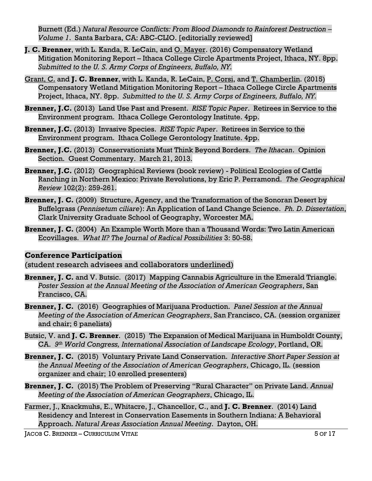Burnett (Ed.) *Natural Resource Conflicts: From Blood Diamonds to Rainforest Destruction – Volume 1*. Santa Barbara, CA: ABC-CLIO. [editorially reviewed]

- **J. C. Brenner**, with L. Kanda, R. LeCain, and O. Mayer. (2016) Compensatory Wetland Mitigation Monitoring Report – Ithaca College Circle Apartments Project, Ithaca, NY. 8pp. *Submitted to the U. S. Army Corps of Engineers, Buffalo, NY.*
- Grant, C. and **J. C. Brenner**, with L. Kanda, R. LeCain, P. Corsi, and T. Chamberlin. (2015) Compensatory Wetland Mitigation Monitoring Report – Ithaca College Circle Apartments Project, Ithaca, NY. 8pp. *Submitted to the U. S. Army Corps of Engineers, Buffalo, NY.*
- **Brenner, J.C.** (2013) Land Use Past and Present. *RISE Topic Paper*. Retirees in Service to the Environment program. Ithaca College Gerontology Institute. 4pp.
- **Brenner, J.C.** (2013) Invasive Species. *RISE Topic Paper*. Retirees in Service to the Environment program. Ithaca College Gerontology Institute. 4pp.
- **Brenner, J.C.** (2013) Conservationists Must Think Beyond Borders. *The Ithacan*. Opinion Section. Guest Commentary. March 21, 2013.
- **Brenner, J.C.** (2012) Geographical Reviews (book review) Political Ecologies of Cattle Ranching in Northern Mexico: Private Revolutions, by Eric P. Perramond. *The Geographical Review* 102(2): 259-261.
- **Brenner, J. C.** (2009) Structure, Agency, and the Transformation of the Sonoran Desert by Buffelgrass (*Pennisetum ciliare*): An Application of Land Change Science. *Ph. D. Dissertation*, Clark University Graduate School of Geography, Worcester MA.
- **Brenner, J. C.** (2004) An Example Worth More than a Thousand Words: Two Latin American Ecovillages. *What If? The Journal of Radical Possibilities* 3: 50-58.

# **Conference Participation**

(student research advisees and collaborators underlined)

- **Brenner, J. C.** and V. Butsic. (2017) Mapping Cannabis Agriculture in the Emerald Triangle. *Poster Session at the Annual Meeting of the Association of American Geographers*, San Francisco, CA.
- **Brenner, J. C.** (2016) Geographies of Marijuana Production. *Panel Session at the Annual Meeting of the Association of American Geographers*, San Francisco, CA. (session organizer and chair; 6 panelists)
- Butsic, V. and **J. C. Brenner**. (2015) The Expansion of Medical Marijuana in Humboldt County, CA. *9 th World Congress, International Association of Landscape Ecology*, Portland, OR.
- **Brenner, J. C.** (2015) Voluntary Private Land Conservation. *Interactive Short Paper Session at the Annual Meeting of the Association of American Geographers*, Chicago, IL. (session organizer and chair; 10 enrolled presenters)
- **Brenner, J. C.** (2015) The Problem of Preserving "Rural Character" on Private Land. *Annual Meeting of the Association of American Geographers*, Chicago, IL.
- Farmer, J., Knackmuhs, E., Whitacre, J., Chancellor, C., and **J. C. Brenner**. (2014) Land Residency and Interest in Conservation Easements in Southern Indiana: A Behavioral Approach. *Natural Areas Association Annual Meeting*. Dayton, OH.

JACOB C. BRENNER – CURRICULUM VITAE 5 OF 17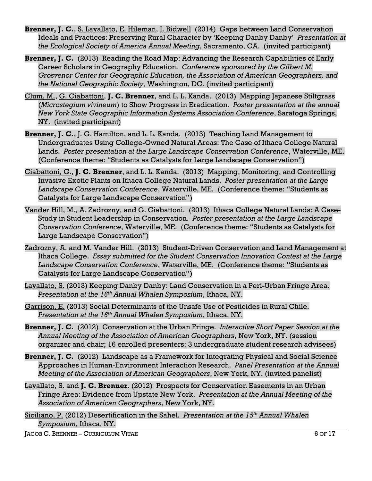- **Brenner, J. C.**, S. Lavallato, E. Hileman, I. Bidwell (2014) Gaps between Land Conservation Ideals and Practices: Preserving Rural Character by 'Keeping Danby Danby' *Presentation at the Ecological Society of America Annual Meeting*, Sacramento, CA. (invited participant)
- **Brenner, J. C.** (2013) Reading the Road Map: Advancing the Research Capabilities of Early Career Scholars in Geography Education. *Conference sponsored by the Gilbert M. Grosvenor Center for Geographic Education, the Association of American Geographers, and the National Geographic Society,* Washington, DC. (invited participant)
- Clum, M., G. Ciabattoni, **J. C. Brenner**, and L. L. Kanda.(2013) Mapping Japanese Stiltgrass (*Microstegium vivineum*) to Show Progress in Eradication. *Poster presentation at the annual New York State Geographic Information Systems Association Conference*, Saratoga Springs, NY. (invited participant)
- **Brenner, J. C.**, J. G. Hamilton, and L. L. Kanda. (2013) Teaching Land Management to Undergraduates Using College-Owned Natural Areas: The Case of Ithaca College Natural Lands. *Poster presentation at the Large Landscape Conservation Conference*, Waterville, ME. (Conference theme: "Students as Catalysts for Large Landscape Conservation")
- Ciabattoni, G., **J. C. Brenner**, and L. L. Kanda. (2013) Mapping, Monitoring, and Controlling Invasive Exotic Plants on Ithaca College Natural Lands. *Poster presentation at the Large Landscape Conservation Conference*, Waterville, ME. (Conference theme: "Students as Catalysts for Large Landscape Conservation")
- Vander Hill, M., A. Zadrozny, and G. Ciabattoni. (2013) Ithaca College Natural Lands: A Case-Study in Student Leadership in Conservation. *Poster presentation at the Large Landscape Conservation Conference*, Waterville, ME. (Conference theme: "Students as Catalysts for Large Landscape Conservation")
- Zadrozny, A. and M. Vander Hill. (2013) Student-Driven Conservation and Land Management at Ithaca College. *Essay submitted for the Student Conservation Innovation Contest at the Large Landscape Conservation Conference*, Waterville, ME. (Conference theme: "Students as Catalysts for Large Landscape Conservation")
- Lavallato, S. (2013) Keeping Danby Danby: Land Conservation in a Peri-Urban Fringe Area. *Presentation at the 16th Annual Whalen Symposium*, Ithaca, NY.
- Garrison, E. (2013) Social Determinants of the Unsafe Use of Pesticides in Rural Chile. *Presentation at the 16th Annual Whalen Symposium*, Ithaca, NY.
- **Brenner, J. C.** (2012) Conservation at the Urban Fringe. *Interactive Short Paper Session at the Annual Meeting of the Association of American Geographers*, New York, NY. (session organizer and chair; 16 enrolled presenters; 3 undergraduate student research advisees)
- **Brenner, J. C.** (2012) Landscape as a Framework for Integrating Physical and Social Science Approaches in Human-Environment Interaction Research. *Panel Presentation at the Annual Meeting of the Association of American Geographers*, New York, NY. (invited panelist)
- Lavallato, S. and **J. C. Brenner**. (2012) Prospects for Conservation Easements in an Urban Fringe Area: Evidence from Upstate New York. *Presentation at the Annual Meeting of the Association of American Geographers*, New York, NY.
- Siciliano, P. (2012) Desertification in the Sahel. *Presentation at the 15th Annual Whalen Symposium*, Ithaca, NY.

**JACOB C. BRENNER – CURRICULUM VITAE 6 OF 17**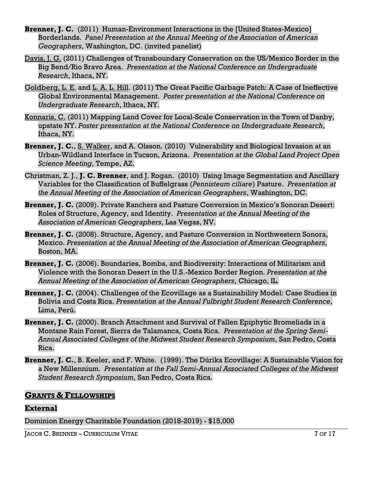- **Brenner, J. C.** (2011) Human-Environment Interactions in the [United States-Mexico] Borderlands. *Panel Presentation at the Annual Meeting of the Association of American Geographers*, Washington, DC. (invited panelist)
- Davis, J. G. (2011) Challenges of Transboundary Conservation on the US/Mexico Border in the Big Bend/Rio Bravo Area. *Presentation at the National Conference on Undergraduate Research*, Ithaca, NY.
- Goldberg, L. E. and L. A. L. Hill. (2011) The Great Pacific Garbage Patch: A Case of Ineffective Global Environmental Management. *Poster presentation at the National Conference on Undergraduate Research*, Ithaca, NY.
- Konnaris, C. (2011) Mapping Land Cover for Local-Scale Conservation in the Town of Danby, upstate NY. *Poster presentation at the National Conference on Undergraduate Research*, Ithaca, NY.
- **Brenner, J. C.**, S. Walker, and A. Olsson. (2010) Vulnerability and Biological Invasion at an Urban-Wildland Interface in Tucson, Arizona. *Presentation at the Global Land Project Open Science Meeting*, Tempe, AZ.
- Christman, Z. J., **J. C. Brenner**, and J. Rogan. (2010) Using Image Segmentation and Ancillary Variables for the Classification of Buffelgrass (*Pennisteum ciliare*) Pasture. *Presentation at the Annual Meeting of the Association of American Geographers*, Washington, DC.
- **Brenner, J. C.** (2009). Private Ranchers and Pasture Conversion in Mexico's Sonoran Desert: Roles of Structure, Agency, and Identity. *Presentation at the Annual Meeting of the Association of American Geographers*, Las Vegas, NV.
- **Brenner, J. C.** (2008). Structure, Agency, and Pasture Conversion in Northwestern Sonora, Mexico. *Presentation at the Annual Meeting of the Association of American Geographers*, Boston, MA.
- **Brenner, J. C.** (2006). Boundaries, Bombs, and Biodiversity: Interactions of Militarism and Violence with the Sonoran Desert in the U.S.-Mexico Border Region. *Presentation at the Annual Meeting of the Association of American Geographers*, Chicago, IL*.*
- **Brenner, J. C.** (2004). Challenges of the Ecovillage as a Sustainability Model: Case Studies in Bolivia and Costa Rica. *Presentation at the Annual Fulbright Student Research Conference*, Lima, Perú.
- **Brenner, J. C.** (2000). Branch Attachment and Survival of Fallen Epiphytic Bromeliads in a Montane Rain Forest, Sierra de Talamanca, Costa Rica. *Presentation at the Spring Semi-Annual Associated Colleges of the Midwest Student Research Symposium*, San Pedro, Costa Rica.
- **Brenner, J. C.**, B. Keeler, and F. White. (1999). The Dúrika Ecovillage: A Sustainable Vision for a New Millennium. *Presentation at the Fall Semi-Annual Associated Colleges of the Midwest Student Research Symposium*, San Pedro, Costa Rica.

# **GRANTS & FELLOWSHIPS**

# **External**

Dominion Energy Charitable Foundation (2018-2019) - \$15,000

JACOB C. BRENNER – CURRICULUM VITAE 7 OF 17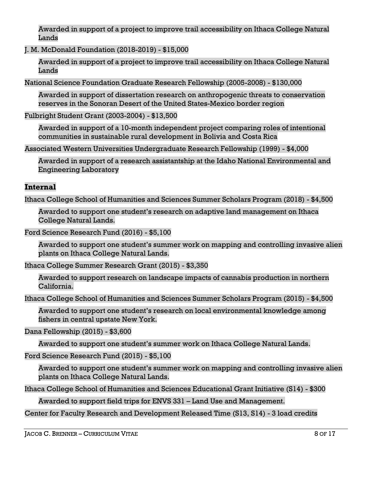Awarded in support of a project to improve trail accessibility on Ithaca College Natural Lands

J. M. McDonald Foundation (2018-2019) - \$15,000

Awarded in support of a project to improve trail accessibility on Ithaca College Natural Lands

National Science Foundation Graduate Research Fellowship (2005-2008) - \$130,000

Awarded in support of dissertation research on anthropogenic threats to conservation reserves in the Sonoran Desert of the United States-Mexico border region

Fulbright Student Grant (2003-2004) - \$13,500

Awarded in support of a 10-month independent project comparing roles of intentional communities in sustainable rural development in Bolivia and Costa Rica

Associated Western Universities Undergraduate Research Fellowship (1999) - \$4,000

Awarded in support of a research assistantship at the Idaho National Environmental and Engineering Laboratory

# **Internal**

Ithaca College School of Humanities and Sciences Summer Scholars Program (2018) - \$4,500

Awarded to support one student's research on adaptive land management on Ithaca College Natural Lands.

Ford Science Research Fund (2016) - \$5,100

Awarded to support one student's summer work on mapping and controlling invasive alien plants on Ithaca College Natural Lands.

Ithaca College Summer Research Grant (2015) - \$3,350

Awarded to support research on landscape impacts of cannabis production in northern California.

Ithaca College School of Humanities and Sciences Summer Scholars Program (2015) - \$4,500

Awarded to support one student's research on local environmental knowledge among fishers in central upstate New York.

Dana Fellowship (2015) - \$3,600

Awarded to support one student's summer work on Ithaca College Natural Lands.

Ford Science Research Fund (2015) - \$5,100

Awarded to support one student's summer work on mapping and controlling invasive alien plants on Ithaca College Natural Lands.

Ithaca College School of Humanities and Sciences Educational Grant Initiative (S14) - \$300

Awarded to support field trips for ENVS 331 – Land Use and Management.

Center for Faculty Research and Development Released Time (S13, S14) - 3 load credits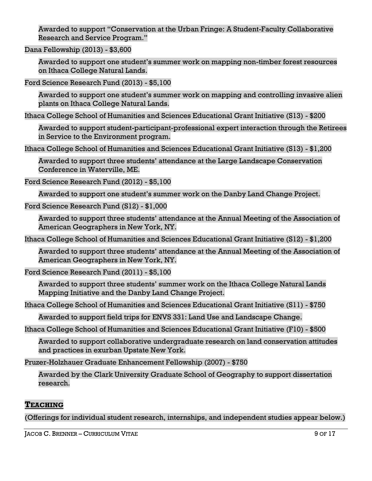Awarded to support "Conservation at the Urban Fringe: A Student-Faculty Collaborative Research and Service Program."

Dana Fellowship (2013) - \$3,600

Awarded to support one student's summer work on mapping non-timber forest resources on Ithaca College Natural Lands.

Ford Science Research Fund (2013) - \$5,100

Awarded to support one student's summer work on mapping and controlling invasive alien plants on Ithaca College Natural Lands.

Ithaca College School of Humanities and Sciences Educational Grant Initiative (S13) - \$200

Awarded to support student-participant-professional expert interaction through the Retirees in Service to the Environment program.

Ithaca College School of Humanities and Sciences Educational Grant Initiative (S13) - \$1,200

Awarded to support three students' attendance at the Large Landscape Conservation Conference in Waterville, ME.

Ford Science Research Fund (2012) - \$5,100

Awarded to support one student's summer work on the Danby Land Change Project.

Ford Science Research Fund (S12) - \$1,000

Awarded to support three students' attendance at the Annual Meeting of the Association of American Geographers in New York, NY.

Ithaca College School of Humanities and Sciences Educational Grant Initiative (S12) - \$1,200

Awarded to support three students' attendance at the Annual Meeting of the Association of American Geographers in New York, NY.

Ford Science Research Fund (2011) - \$5,100

Awarded to support three students' summer work on the Ithaca College Natural Lands Mapping Initiative and the Danby Land Change Project.

Ithaca College School of Humanities and Sciences Educational Grant Initiative (S11) - \$750

Awarded to support field trips for ENVS 331: Land Use and Landscape Change.

Ithaca College School of Humanities and Sciences Educational Grant Initiative (F10) - \$500

Awarded to support collaborative undergraduate research on land conservation attitudes and practices in exurban Upstate New York.

Pruzer-Holzhauer Graduate Enhancement Fellowship (2007) - \$750

Awarded by the Clark University Graduate School of Geography to support dissertation research.

### **TEACHING**

(Offerings for individual student research, internships, and independent studies appear below.)

JACOB C. BRENNER – CURRICULUM VITAE 9 OF 17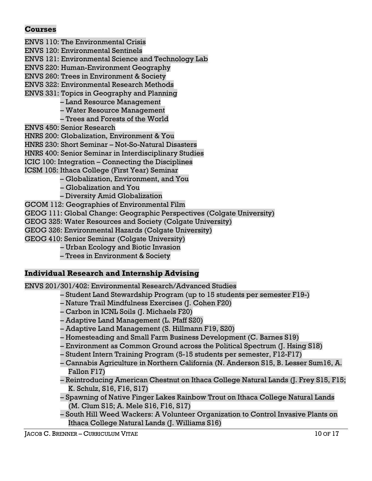## **Courses**

- ENVS 110: The Environmental Crisis ENVS 120: Environmental Sentinels ENVS 121: Environmental Science and Technology Lab ENVS 220: Human-Environment Geography ENVS 260: Trees in Environment & Society ENVS 322: Environmental Research Methods ENVS 331: Topics in Geography and Planning – Land Resource Management
	- Water Resource Management
	- Trees and Forests of the World
- ENVS 450: Senior Research
- HNRS 200: Globalization, Environment & You
- HNRS 230: Short Seminar Not-So-Natural Disasters
- HNRS 400: Senior Seminar in Interdisciplinary Studies
- ICIC 100: Integration Connecting the Disciplines
- ICSM 105: Ithaca College (First Year) Seminar
	- Globalization, Environment, and You
	- Globalization and You
	- Diversity Amid Globalization
- GCOM 112: Geographies of Environmental Film
- GEOG 111: Global Change: Geographic Perspectives (Colgate University)
- GEOG 325: Water Resources and Society (Colgate University)
- GEOG 326: Environmental Hazards (Colgate University)
- GEOG 410: Senior Seminar (Colgate University)
	- Urban Ecology and Biotic Invasion
	- Trees in Environment & Society

### **Individual Research and Internship Advising**

ENVS 201/301/402: Environmental Research/Advanced Studies

- Student Land Stewardship Program (up to 15 students per semester F19-)
- Nature Trail Mindfulness Exercises (J. Cohen F20)
- Carbon in ICNL Soils (J. Michaels F20)
- Adaptive Land Management (L. Pfaff S20)
- Adaptive Land Management (S. Hillmann F19, S20)
- Homesteading and Small Farm Business Development (C. Barnes S19)
- Environment as Common Ground across the Political Spectrum (J. Hsing S18)
- Student Intern Training Program (5-15 students per semester, F12-F17)
- Cannabis Agriculture in Northern California (N. Anderson S15, B. Lesser Sum16, A. Fallon F17)
- Reintroducing American Chestnut on Ithaca College Natural Lands (J. Frey S15, F15; K. Schulz, S16, F16, S17)
- Spawning of Native Finger Lakes Rainbow Trout on Ithaca College Natural Lands (M. Clum S15; A. Mele S16, F16, S17)
- South Hill Weed Wackers: A Volunteer Organization to Control Invasive Plants on Ithaca College Natural Lands (J. Williams S16)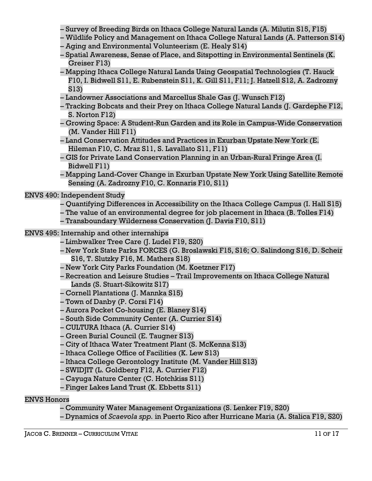- Survey of Breeding Birds on Ithaca College Natural Lands (A. Milutin S15, F15)
- Wildlife Policy and Management on Ithaca College Natural Lands (A. Patterson S14)
- Aging and Environmental Volunteerism (E. Healy S14)
- Spatial Awareness, Sense of Place, and Sitspotting in Environmental Sentinels (K. Greiser F13)
- Mapping Ithaca College Natural Lands Using Geospatial Technologies (T. Hauck F10, I. Bidwell S11, E. Rubenstein S11, K. Gill S11, F11; J. Hatzell S12, A. Zadrozny S13)
- Landowner Associations and Marcellus Shale Gas (J. Wunsch F12)
- Tracking Bobcats and their Prey on Ithaca College Natural Lands (J. Gardephe F12, S. Norton F12)
- Growing Space: A Student-Run Garden and its Role in Campus-Wide Conservation (M. Vander Hill F11)
- Land Conservation Attitudes and Practices in Exurban Upstate New York (E. Hileman F10, C. Mraz S11, S. Lavallato S11, F11)
- GIS for Private Land Conservation Planning in an Urban-Rural Fringe Area (I. Bidwell F11)
- Mapping Land-Cover Change in Exurban Upstate New York Using Satellite Remote Sensing (A. Zadrozny F10, C. Konnaris F10, S11)

### ENVS 490: Independent Study

- Quantifying Differences in Accessibility on the Ithaca College Campus (I. Hall S15)
- The value of an environmental degree for job placement in Ithaca (B. Tolles F14)
- Transboundary Wilderness Conservation (J. Davis F10, S11)
- ENVS 495: Internship and other internships
	- Limbwalker Tree Care (J. Ludel F19, S20)
	- New York State Parks FORCES (G. Broslawski F15, S16; O. Salindong S16, D. Scheir S16, T. Slutzky F16, M. Mathers S18)
	- New York City Parks Foundation (M. Koetzner F17)
	- Recreation and Leisure Studies Trail Improvements on Ithaca College Natural Lands (S. Stuart-Sikowitz S17)
	- Cornell Plantations (J. Mannka S15)
	- Town of Danby (P. Corsi F14)
	- Aurora Pocket Co-housing (E. Blaney S14)
	- South Side Community Center (A. Currier S14)
	- CULTURA Ithaca (A. Currier S14)
	- Green Burial Council (E. Taugner S13)
	- City of Ithaca Water Treatment Plant (S. McKenna S13)
	- Ithaca College Office of Facilities (K. Lew S13)
	- Ithaca College Gerontology Institute (M. Vander Hill S13)
	- SWIDJIT (L. Goldberg F12, A. Currier F12)
	- Cayuga Nature Center (C. Hotchkiss S11)
	- Finger Lakes Land Trust (K. Ebbetts S11)

### ENVS Honors

- Community Water Management Organizations (S. Lenker F19, S20)
- Dynamics of *Scaevola spp.* in Puerto Rico after Hurricane Maria (A. Stalica F19, S20)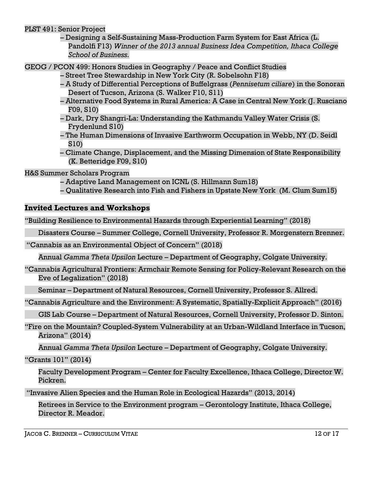PLST 491: Senior Project

– Designing a Self-Sustaining Mass-Production Farm System for East Africa (L. Pandolfi F13) *Winner of the 2013 annual Business Idea Competition, Ithaca College School of Business.*

GEOG / PCON 499: Honors Studies in Geography / Peace and Conflict Studies

- Street Tree Stewardship in New York City (R. Sobelsohn F18)
- A Study of Differential Perceptions of Buffelgrass (*Pennisetum ciliare*) in the Sonoran Desert of Tucson, Arizona (S. Walker F10, S11)
- Alternative Food Systems in Rural America: A Case in Central New York (J. Rusciano F09, S10)
- Dark, Dry Shangri-La: Understanding the Kathmandu Valley Water Crisis (S. Frydenlund S10)
- The Human Dimensions of Invasive Earthworm Occupation in Webb, NY (D. Seidl S10)
- Climate Change, Displacement, and the Missing Dimension of State Responsibility (K. Betteridge F09, S10)

H&S Summer Scholars Program

- Adaptive Land Management on ICNL (S. Hillmann Sum18)
- Qualitative Research into Fish and Fishers in Upstate New York (M. Clum Sum15)

## **Invited Lectures and Workshops**

"Building Resilience to Environmental Hazards through Experiential Learning" (2018)

Disasters Course – Summer College, Cornell University, Professor R. Morgenstern Brenner.

"Cannabis as an Environmental Object of Concern" (2018)

Annual *Gamma Theta Upsilon* Lecture – Department of Geography, Colgate University.

"Cannabis Agricultural Frontiers: Armchair Remote Sensing for Policy-Relevant Research on the Eve of Legalization" (2018)

Seminar – Department of Natural Resources, Cornell University, Professor S. Allred.

"Cannabis Agriculture and the Environment: A Systematic, Spatially-Explicit Approach" (2016)

GIS Lab Course – Department of Natural Resources, Cornell University, Professor D. Sinton.

"Fire on the Mountain? Coupled-System Vulnerability at an Urban-Wildland Interface in Tucson, Arizona" (2014)

Annual *Gamma Theta Upsilon* Lecture – Department of Geography, Colgate University.

"Grants 101" (2014)

Faculty Development Program – Center for Faculty Excellence, Ithaca College, Director W. Pickren.

"Invasive Alien Species and the Human Role in Ecological Hazards" (2013, 2014)

Retirees in Service to the Environment program – Gerontology Institute, Ithaca College, Director R. Meador.

JACOB C. BRENNER – CURRICULUM VITAE 12 OF 17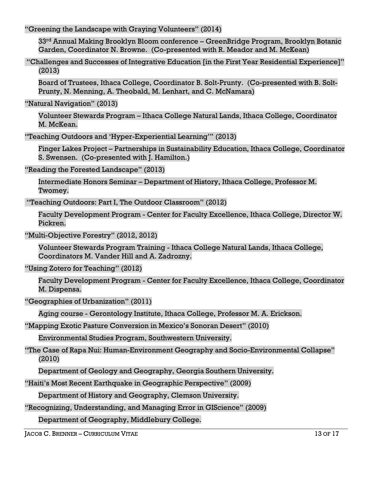"Greening the Landscape with Graying Volunteers" (2014)

33rd Annual Making Brooklyn Bloom conference – GreenBridge Program, Brooklyn Botanic Garden, Coordinator N. Browne. (Co-presented with R. Meador and M. McKean)

"Challenges and Successes of Integrative Education [in the First Year Residential Experience]" (2013)

Board of Trustees, Ithaca College, Coordinator B. Solt-Prunty. (Co-presented with B. Solt-Prunty, N. Menning, A. Theobald, M. Lenhart, and C. McNamara)

"Natural Navigation" (2013)

Volunteer Stewards Program – Ithaca College Natural Lands, Ithaca College, Coordinator M. McKean.

"Teaching Outdoors and 'Hyper-Experiential Learning'" (2013)

Finger Lakes Project – Partnerships in Sustainability Education, Ithaca College, Coordinator S. Swensen. (Co-presented with J. Hamilton.)

"Reading the Forested Landscape" (2013)

Intermediate Honors Seminar – Department of History, Ithaca College, Professor M. Twomey.

"Teaching Outdoors: Part I, The Outdoor Classroom" (2012)

Faculty Development Program - Center for Faculty Excellence, Ithaca College, Director W. Pickren.

"Multi-Objective Forestry" (2012, 2012)

Volunteer Stewards Program Training - Ithaca College Natural Lands, Ithaca College, Coordinators M. Vander Hill and A. Zadrozny.

# "Using Zotero for Teaching" (2012)

Faculty Development Program - Center for Faculty Excellence, Ithaca College, Coordinator M. Dispensa.

"Geographies of Urbanization" (2011)

Aging course - Gerontology Institute, Ithaca College, Professor M. A. Erickson.

"Mapping Exotic Pasture Conversion in Mexico's Sonoran Desert" (2010)

Environmental Studies Program, Southwestern University.

"The Case of Rapa Nui: Human-Environment Geography and Socio-Environmental Collapse" (2010)

Department of Geology and Geography, Georgia Southern University.

"Haiti's Most Recent Earthquake in Geographic Perspective" (2009)

Department of History and Geography, Clemson University.

"Recognizing, Understanding, and Managing Error in GIScience" (2009)

Department of Geography, Middlebury College.

JACOB C. BRENNER – CURRICULUM VITAE 13 OF 17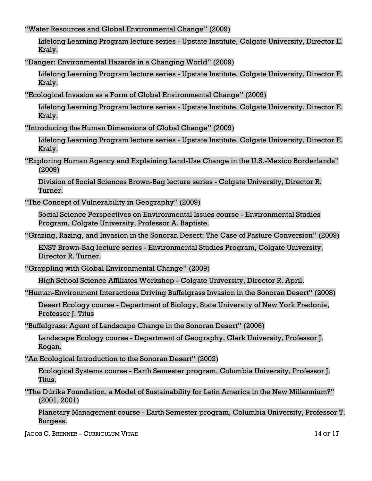"Water Resources and Global Environmental Change" (2009)

Lifelong Learning Program lecture series - Upstate Institute, Colgate University, Director E. Kraly.

"Danger: Environmental Hazards in a Changing World" (2009)

Lifelong Learning Program lecture series - Upstate Institute, Colgate University, Director E. Kraly.

"Ecological Invasion as a Form of Global Environmental Change" (2009)

Lifelong Learning Program lecture series - Upstate Institute, Colgate University, Director E. Kraly.

"Introducing the Human Dimensions of Global Change" (2009)

Lifelong Learning Program lecture series - Upstate Institute, Colgate University, Director E. Kraly.

"Exploring Human Agency and Explaining Land-Use Change in the U.S.-Mexico Borderlands" (2009)

Division of Social Sciences Brown-Bag lecture series - Colgate University, Director R. Turner.

"The Concept of Vulnerability in Geography" (2009)

Social Science Perspectives on Environmental Issues course - Environmental Studies Program, Colgate University, Professor A. Baptiste.

"Grazing, Razing, and Invasion in the Sonoran Desert: The Case of Pasture Conversion" (2009)

ENST Brown-Bag lecture series - Environmental Studies Program, Colgate University, Director R. Turner.

"Grappling with Global Environmental Change" (2009)

High School Science Affiliates Workshop - Colgate University, Director R. April.

"Human-Environment Interactions Driving Buffelgrass Invasion in the Sonoran Desert" (2008)

Desert Ecology course - Department of Biology, State University of New York Fredonia, Professor J. Titus

"Buffelgrass: Agent of Landscape Change in the Sonoran Desert" (2006)

Landscape Ecology course - Department of Geography, Clark University, Professor J. Rogan.

"An Ecological Introduction to the Sonoran Desert" (2002)

Ecological Systems course - Earth Semester program, Columbia University, Professor J. Titus.

"The Dúrika Foundation, a Model of Sustainability for Latin America in the New Millennium?" (2001, 2001)

Planetary Management course - Earth Semester program, Columbia University, Professor T. Burgess.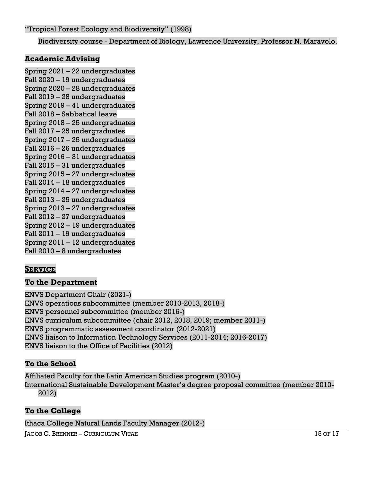Biodiversity course - Department of Biology, Lawrence University, Professor N. Maravolo.

## **Academic Advising**

Spring 2021 – 22 undergraduates Fall 2020 – 19 undergraduates Spring 2020 – 28 undergraduates Fall 2019 – 28 undergraduates Spring 2019 – 41 undergraduates Fall 2018 – Sabbatical leave Spring 2018 – 25 undergraduates Fall 2017 – 25 undergraduates Spring 2017 – 25 undergraduates Fall 2016 – 26 undergraduates Spring 2016 – 31 undergraduates Fall 2015 – 31 undergraduates Spring 2015 – 27 undergraduates Fall 2014 – 18 undergraduates Spring 2014 – 27 undergraduates Fall 2013 – 25 undergraduates Spring 2013 – 27 undergraduates Fall 2012 – 27 undergraduates Spring 2012 – 19 undergraduates Fall 2011 – 19 undergraduates Spring 2011 – 12 undergraduates Fall 2010 – 8 undergraduates

# **SERVICE**

# **To the Department**

ENVS Department Chair (2021-) ENVS operations subcommittee (member 2010-2013, 2018-) ENVS personnel subcommittee (member 2016-) ENVS curriculum subcommittee (chair 2012, 2018, 2019; member 2011-) ENVS programmatic assessment coordinator (2012-2021) ENVS liaison to Information Technology Services (2011-2014; 2016-2017) ENVS liaison to the Office of Facilities (2012)

# **To the School**

Affiliated Faculty for the Latin American Studies program (2010-) International Sustainable Development Master's degree proposal committee (member 2010- 2012)

# **To the College**

Ithaca College Natural Lands Faculty Manager (2012-)

JACOB C. BRENNER – CURRICULUM VITAE 15 OF 17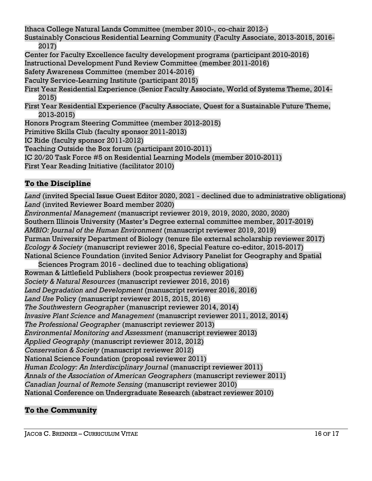Ithaca College Natural Lands Committee (member 2010-, co-chair 2012-)

Sustainably Conscious Residential Learning Community (Faculty Associate, 2013-2015, 2016- 2017)

Center for Faculty Excellence faculty development programs (participant 2010-2016)

Instructional Development Fund Review Committee (member 2011-2016)

Safety Awareness Committee (member 2014-2016)

Faculty Service-Learning Institute (participant 2015)

First Year Residential Experience (Senior Faculty Associate, World of Systems Theme, 2014- 2015)

First Year Residential Experience (Faculty Associate, Quest for a Sustainable Future Theme, 2013-2015)

Honors Program Steering Committee (member 2012-2015)

Primitive Skills Club (faculty sponsor 2011-2013)

IC Ride (faculty sponsor 2011-2012)

Teaching Outside the Box forum (participant 2010-2011)

IC 20/20 Task Force #5 on Residential Learning Models (member 2010-2011)

First Year Reading Initiative (facilitator 2010)

# **To the Discipline**

*Land* (invited Special Issue Guest Editor 2020, 2021 - declined due to administrative obligations) *Land* (invited Reviewer Board member 2020) *Environmental Management* (manuscript reviewer 2019, 2019, 2020, 2020, 2020) Southern Illinois University (Master's Degree external committee member, 2017-2019) *AMBIO: Journal of the Human Environment* (manuscript reviewer 2019, 2019) Furman University Department of Biology (tenure file external scholarship reviewer 2017) *Ecology & Society* (manuscript reviewer 2016, Special Feature co-editor, 2015-2017) National Science Foundation (invited Senior Advisory Panelist for Geography and Spatial Sciences Program 2016 - declined due to teaching obligations) Rowman & Littlefield Publishers (book prospectus reviewer 2016) *Society & Natural Resources* (manuscript reviewer 2016, 2016) *Land Degradation and Development* (manuscript reviewer 2016, 2016) *Land Use* Policy (manuscript reviewer 2015, 2015, 2016)

*The Southwestern Geographer* (manuscript reviewer 2014, 2014)

*Invasive Plant Science and Management* (manuscript reviewer 2011, 2012, 2014)

*The Professional Geographer* (manuscript reviewer 2013)

*Environmental Monitoring and Assessment* (manuscript reviewer 2013)

*Applied Geography* (manuscript reviewer 2012, 2012)

*Conservation & Society* (manuscript reviewer 2012)

National Science Foundation (proposal reviewer 2011)

*Human Ecology: An Interdisciplinary Journal* (manuscript reviewer 2011)

*Annals of the Association of American Geographers* (manuscript reviewer 2011)

*Canadian Journal of Remote Sensing* (manuscript reviewer 2010)

National Conference on Undergraduate Research (abstract reviewer 2010)

# **To the Community**